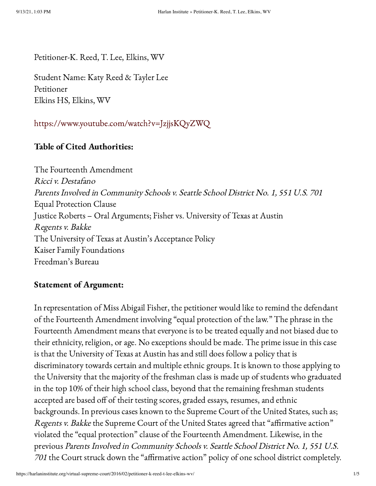Petitioner-K. Reed, T. Lee, Elkins, WV

Student Name: Katy Reed & Tayler Lee Petitioner Elkins HS, Elkins, WV

<https://www.youtube.com/watch?v=JzjjsKQyZWQ>

## Table of Cited Authorities:

The Fourteenth Amendment Ricci v. Destafano Parents Involved in Community Schools v. Seattle School District No. 1, <sup>551</sup> U.S. <sup>701</sup> Equal Protection Clause Justice Roberts – Oral Arguments; Fisher vs. University of Texas at Austin Regents v. Bakke The University of Texas at Austin's Acceptance Policy Kaiser Family Foundations Freedman's Bureau

## Statement of Argument:

In representation of Miss Abigail Fisher, the petitioner would like to remind the defendant of the Fourteenth Amendment involving "equal protection of the law." The phrase in the Fourteenth Amendment means that everyone is to be treated equally and not biased due to their ethnicity, religion, or age. No exceptions should be made. The prime issue in this case is that the University of Texas at Austin has and still does follow a policy that is discriminatory towards certain and multiple ethnic groups. It is known to those applying to the University that the majority of the freshman class is made up of students who graduated in the top 10% of their high school class, beyond that the remaining freshman students accepted are based off of their testing scores, graded essays, resumes, and ethnic backgrounds. In previous cases known to the Supreme Court of the United States, such as; Regents v. Bakke the Supreme Court of the United States agreed that "affirmative action" violated the "equal protection" clause of the Fourteenth Amendment. Likewise, in the previous Parents Involved in Community Schools v. Seattle School District No. 1, <sup>551</sup> U.S. <sup>701</sup> the Court struck down the "affirmative action" policy of one school district completely.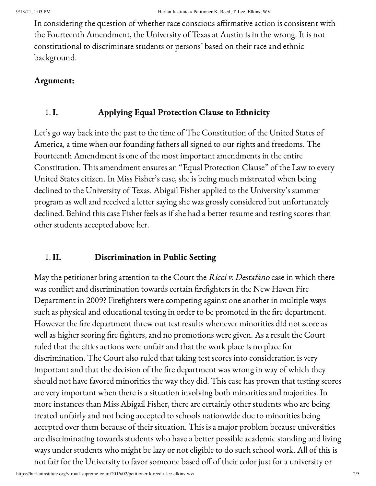In considering the question of whether race conscious affirmative action is consistent with the Fourteenth Amendment, the University of Texas at Austin is in the wrong. It is not constitutional to discriminate students or persons' based on their race and ethnic background.

### Argument:

# 1. I. Applying Equal Protection Clause to Ethnicity

Let's go way back into the past to the time of The Constitution of the United States of America, a time when our founding fathers all signed to our rights and freedoms. The Fourteenth Amendment is one of the most important amendments in the entire Constitution. This amendment ensures an "Equal Protection Clause" of the Law to every United States citizen. In Miss Fisher's case, she is being much mistreated when being declined to the University of Texas. Abigail Fisher applied to the University's summer program as well and received a letter saying she was grossly considered but unfortunately declined. Behind this case Fisher feels as if she had a better resume and testing scores than other students accepted above her.

## 1. II. Discrimination in Public Setting

May the petitioner bring attention to the Court the Ricci v. Destafano case in which there was conflict and discrimination towards certain firefighters in the New Haven Fire Department in 2009? Firefighters were competing against one another in multiple ways such as physical and educational testing in order to be promoted in the fire department. However the fire department threw out test results whenever minorities did not score as well as higher scoring fire fighters, and no promotions were given. As a result the Court ruled that the cities actions were unfair and that the work place is no place for discrimination. The Court also ruled that taking test scores into consideration is very important and that the decision of the fire department was wrong in way of which they should not have favored minorities the way they did. This case has proven that testing scores are very important when there is a situation involving both minorities and majorities. In more instances than Miss Abigail Fisher, there are certainly other students who are being treated unfairly and not being accepted to schools nationwide due to minorities being accepted over them because of their situation. This is a major problem because universities are discriminating towards students who have a better possible academic standing and living ways under students who might be lazy or not eligible to do such school work. All of this is not fair for the University to favor someone based off of their color just for a university or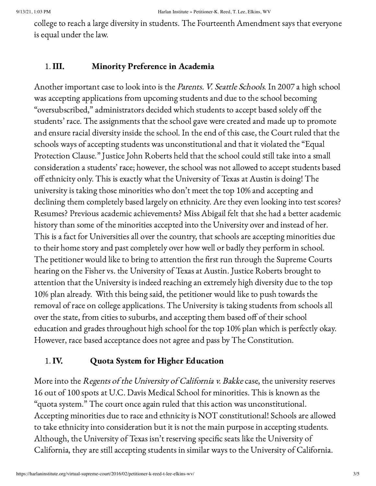college to reach a large diversity in students. The Fourteenth Amendment says that everyone is equal under the law.

#### 1. III. Minority Preference in Academia

Another important case to look into is the *Parents. V. Seattle Schools*. In 2007 a high school was accepting applications from upcoming students and due to the school becoming "oversubscribed," administrators decided which students to accept based solely off the students' race. The assignments that the school gave were created and made up to promote and ensure racial diversity inside the school. In the end of this case, the Court ruled that the schools ways of accepting students was unconstitutional and that it violated the "Equal Protection Clause." Justice John Roberts held that the school could still take into a small consideration a students' race; however, the school was not allowed to accept students based off ethnicity only. This is exactly what the University of Texas at Austin is doing! The university is taking those minorities who don't meet the top 10% and accepting and declining them completely based largely on ethnicity. Are they even looking into test scores? Resumes? Previous academic achievements? Miss Abigail felt that she had a better academic history than some of the minorities accepted into the University over and instead of her. This is a fact for Universities all over the country, that schools are accepting minorities due to their home story and past completely over how well or badly they perform in school. The petitioner would like to bring to attention the first run through the Supreme Courts hearing on the Fisher vs. the University of Texas at Austin. Justice Roberts brought to attention that the University is indeed reaching an extremely high diversity due to the top 10% plan already. With this being said, the petitioner would like to push towards the removal of race on college applications. The University is taking students from schools all over the state, from cities to suburbs, and accepting them based off of their school education and grades throughout high school for the top 10% plan which is perfectly okay. However, race based acceptance does not agree and pass by The Constitution.

## 1. IV. Quota System for Higher Education

More into the Regents of the University of California v. Bakke case, the university reserves 16 out of 100 spots at U.C. Davis Medical School for minorities. This is known as the "quota system." The court once again ruled that this action was unconstitutional. Accepting minorities due to race and ethnicity is NOT constitutional! Schools are allowed to take ethnicity into consideration but it is not the main purpose in accepting students. Although, the University of Texas isn't reserving specific seats like the University of California, they are still accepting students in similar ways to the University of California.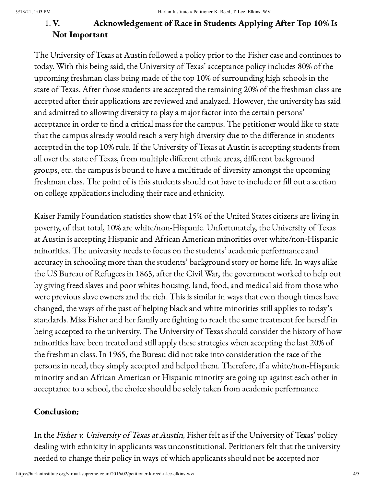# 1. V. Acknowledgement of Race in Students Applying After Top 10% Is Not Important

The University of Texas at Austin followed a policy prior to the Fisher case and continues to today. With this being said, the University of Texas' acceptance policy includes 80% of the upcoming freshman class being made of the top 10% of surrounding high schools in the state of Texas. After those students are accepted the remaining 20% of the freshman class are accepted after their applications are reviewed and analyzed. However, the university has said and admitted to allowing diversity to play a major factor into the certain persons' acceptance in order to find a critical mass for the campus. The petitioner would like to state that the campus already would reach a very high diversity due to the difference in students accepted in the top 10% rule. If the University of Texas at Austin is accepting students from all over the state of Texas, from multiple different ethnic areas, different background groups, etc. the campus is bound to have a multitude of diversity amongst the upcoming freshman class. The point of is this students should not have to include or fill out a section on college applications including their race and ethnicity.

Kaiser Family Foundation statistics show that 15% of the United States citizens are living in poverty, of that total, 10% are white/non-Hispanic. Unfortunately, the University of Texas at Austin is accepting Hispanic and African American minorities over white/non-Hispanic minorities. The university needs to focus on the students' academic performance and accuracy in schooling more than the students' background story or home life. In ways alike the US Bureau of Refugees in 1865, after the Civil War, the government worked to help out by giving freed slaves and poor whites housing, land, food, and medical aid from those who were previous slave owners and the rich. This is similar in ways that even though times have changed, the ways of the past of helping black and white minorities still applies to today's standards. Miss Fisher and her family are fighting to reach the same treatment for herself in being accepted to the university. The University of Texas should consider the history of how minorities have been treated and still apply these strategies when accepting the last 20% of the freshman class. In 1965, the Bureau did not take into consideration the race of the persons in need, they simply accepted and helped them. Therefore, if a white/non-Hispanic minority and an African American or Hispanic minority are going up against each other in acceptance to a school, the choice should be solely taken from academic performance.

## Conclusion:

In the Fisher v. University of Texas at Austin, Fisher felt as if the University of Texas' policy dealing with ethnicity in applicants was unconstitutional. Petitioners felt that the university needed to change their policy in ways of which applicants should not be accepted nor